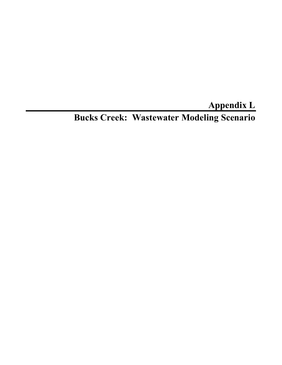**Appendix L** 

**Bucks Creek: Wastewater Modeling Scenario**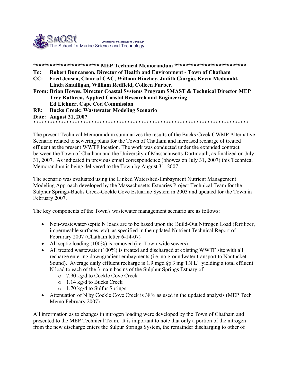

**\*\*\*\*\*\*\*\*\*\*\*\*\*\*\*\*\*\*\*\*\*\*\*\* MEP Technical Memorandum \*\*\*\*\*\*\*\*\*\*\*\*\*\*\*\*\*\*\*\*\*\*\*\*\*\* To: Robert Duncanson, Director of Health and Environment - Town of Chatham CC: Fred Jensen, Chair of CAC, William Hinchey, Judith Giorgio, Kevin Mcdonald, Linda Smulligan, William Redfield, Colleen Furber. From: Brian Howes, Director Coastal Systems Program SMAST & Technical Director MEP Trey Ruthven, Applied Coastal Research and Engineering Ed Eichner, Cape Cod Commission RE: Bucks Creek: Wastewater Modeling Scenario** 

**Date: August 31, 2007** 

**\*\*\*\*\*\*\*\*\*\*\*\*\*\*\*\*\*\*\*\*\*\*\*\*\*\*\*\*\*\*\*\*\*\*\*\*\*\*\*\*\*\*\*\*\*\*\*\*\*\*\*\*\*\*\*\*\*\*\*\*\*\*\*\*\*\*\*\*\*\*\*\*\*\*\*\*\*\*** 

The present Technical Memorandum summarizes the results of the Bucks Creek CWMP Alternative Scenario related to sewering plans for the Town of Chatham and increased recharge of treated effluent at the present WWTF location. The work was conducted under the extended contract between the Town of Chatham and the University of Massachusetts-Dartmouth, as finalized on July 31, 2007. As indicated in previous email correspondence (bhowes on July 31, 2007) this Technical Memorandum is being delivered to the Town by August 31, 2007.

The scenario was evaluated using the Linked Watershed-Embayment Nutrient Management Modeling Approach developed by the Massachusetts Estuaries Project Technical Team for the Sulphur Springs-Bucks Creek-Cockle Cove Estuarine System in 2003 and updated for the Town in February 2007.

The key components of the Town's wastewater management scenario are as follows:

- Non-wastewater/septic N loads are to be based upon the Build-Out Nitrogen Load (fertilizer, impermeable surfaces, etc), as specified in the updated Nutrient Technical Report of Februrary 2007 (Chatham letter 6-14-07)
- All septic loading (100%) is removed (i.e. Town-wide sewers)
- All treated wastewater (100%) is treated and discharged at existing WWTF site with all recharge entering downgradient embayments (i.e. no groundwater transport to Nantucket Sound). Average daily effluent recharge is 1.9 mgd  $\omega$  3 mg TN L<sup>-1</sup> yielding a total effluent N load to each of the 3 main basins of the Sulphur Springs Estuary of
	- o 7.90 kg/d to Cockle Cove Creek
	- o 1.14 kg/d to Bucks Creek
	- o 1.70 kg/d to Sulfur Springs
- Attenuation of N by Cockle Cove Creek is 38% as used in the updated analysis (MEP Tech Memo February 2007)

All information as to changes in nitrogen loading were developed by the Town of Chatham and presented to the MEP Technical Team. It is important to note that only a portion of the nitrogen from the new discharge enters the Sulpur Springs System, the remainder discharging to other of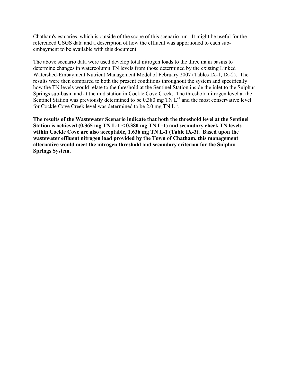Chatham's estuaries, which is outside of the scope of this scenario run. It might be useful for the referenced USGS data and a description of how the effluent was apportioned to each subembayment to be available with this document.

The above scenario data were used develop total nitrogen loads to the three main basins to determine changes in watercolumn TN levels from those determined by the existing Linked Watershed-Embayment Nutrient Management Model of February 2007 (Tables IX-1, IX-2). The results were then compared to both the present conditions throughout the system and specifically how the TN levels would relate to the threshold at the Sentinel Station inside the inlet to the Sulphur Springs sub-basin and at the mid station in Cockle Cove Creek. The threshold nitrogen level at the Sentinel Station was previously determined to be 0.380 mg TN L<sup>-1</sup> and the most conservative level for Cockle Cove Creek level was determined to be 2.0 mg TN  $L^{-1}$ .

**The results of the Wastewater Scenario indicate that both the threshold level at the Sentinel Station is achieved (0.365 mg TN L-1 < 0.380 mg TN L-1) and secondary check TN levels within Cockle Cove are also acceptable, 1.636 mg TN L-1 (Table IX-3). Based upon the wastewater effluent nitrogen load provided by the Town of Chatham, this management alternative would meet the nitrogen threshold and secondary criterion for the Sulphur Springs System.**